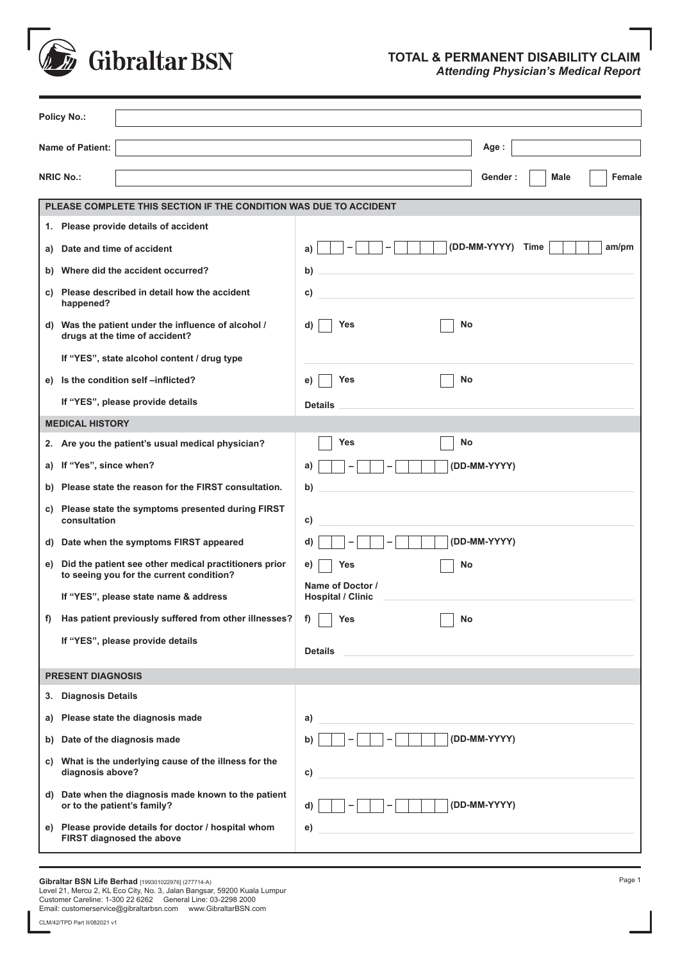

## **TOTAL & PERMANENT DISABILITY CLAIM** *Attending Physician's Medical Report*

| <b>Policy No.:</b>       |                                                                                                   |                                                |  |  |  |
|--------------------------|---------------------------------------------------------------------------------------------------|------------------------------------------------|--|--|--|
|                          | <b>Name of Patient:</b>                                                                           | Age:                                           |  |  |  |
|                          | <b>NRIC No.:</b>                                                                                  | Female<br>Gender:<br>Male                      |  |  |  |
|                          | PLEASE COMPLETE THIS SECTION IF THE CONDITION WAS DUE TO ACCIDENT                                 |                                                |  |  |  |
|                          | 1. Please provide details of accident                                                             |                                                |  |  |  |
|                          |                                                                                                   | (DD-MM-YYYY)<br>Time<br>am/pm                  |  |  |  |
| a)                       | Date and time of accident                                                                         | a)                                             |  |  |  |
|                          | b) Where did the accident occurred?                                                               | b)                                             |  |  |  |
| C)                       | Please described in detail how the accident<br>happened?                                          | C)                                             |  |  |  |
|                          | d) Was the patient under the influence of alcohol /<br>drugs at the time of accident?             | <b>Yes</b><br>No<br>d)                         |  |  |  |
|                          | If "YES", state alcohol content / drug type                                                       |                                                |  |  |  |
|                          | e) Is the condition self-inflicted?                                                               | No<br>Yes<br>e)                                |  |  |  |
|                          | If "YES", please provide details                                                                  | <b>Details</b>                                 |  |  |  |
|                          | <b>MEDICAL HISTORY</b>                                                                            |                                                |  |  |  |
|                          | 2. Are you the patient's usual medical physician?                                                 | <b>Yes</b><br>No                               |  |  |  |
|                          | a) If "Yes", since when?                                                                          | (DD-MM-YYYY)<br>a)                             |  |  |  |
|                          | b) Please state the reason for the FIRST consultation.                                            | b)                                             |  |  |  |
| C)                       | Please state the symptoms presented during FIRST<br>consultation                                  | C)                                             |  |  |  |
|                          | d) Date when the symptoms FIRST appeared                                                          | (DD-MM-YYYY)<br>d)<br>-                        |  |  |  |
| e)                       | Did the patient see other medical practitioners prior<br>to seeing you for the current condition? | e)<br>No<br>Yes                                |  |  |  |
|                          | If "YES", please state name & address                                                             | Name of Doctor /<br><b>Hospital / Clinic</b>   |  |  |  |
| f)                       | Has patient previously suffered from other illnesses?                                             | f)<br><b>Yes</b><br>No                         |  |  |  |
|                          | If "YES", please provide details                                                                  | <b>Details</b>                                 |  |  |  |
| <b>PRESENT DIAGNOSIS</b> |                                                                                                   |                                                |  |  |  |
| 3.                       | <b>Diagnosis Details</b>                                                                          |                                                |  |  |  |
| a)                       | Please state the diagnosis made                                                                   | a)                                             |  |  |  |
|                          | b) Date of the diagnosis made                                                                     | (DD-MM-YYYY)<br>-<br>b)                        |  |  |  |
| C)                       | What is the underlying cause of the illness for the<br>diagnosis above?                           | c)                                             |  |  |  |
|                          | d) Date when the diagnosis made known to the patient<br>or to the patient's family?               | (DD-MM-YYYY)<br>d)<br>$\overline{\phantom{a}}$ |  |  |  |
|                          | e) Please provide details for doctor / hospital whom<br>FIRST diagnosed the above                 | e)                                             |  |  |  |

**Gibraltar BSN Life Berhad** [199301022976] (277714-A)<br>Level 21, Mercu 2, KL Eco City, No. 3, Jalan Bangsar, 59200 Kuala Lumpur<br>Customer Careline: 1-300 22 6262 General Line: 03-2298 2000 Email: customerservice@gibraltarbsn.com www.GibraltarBSN.com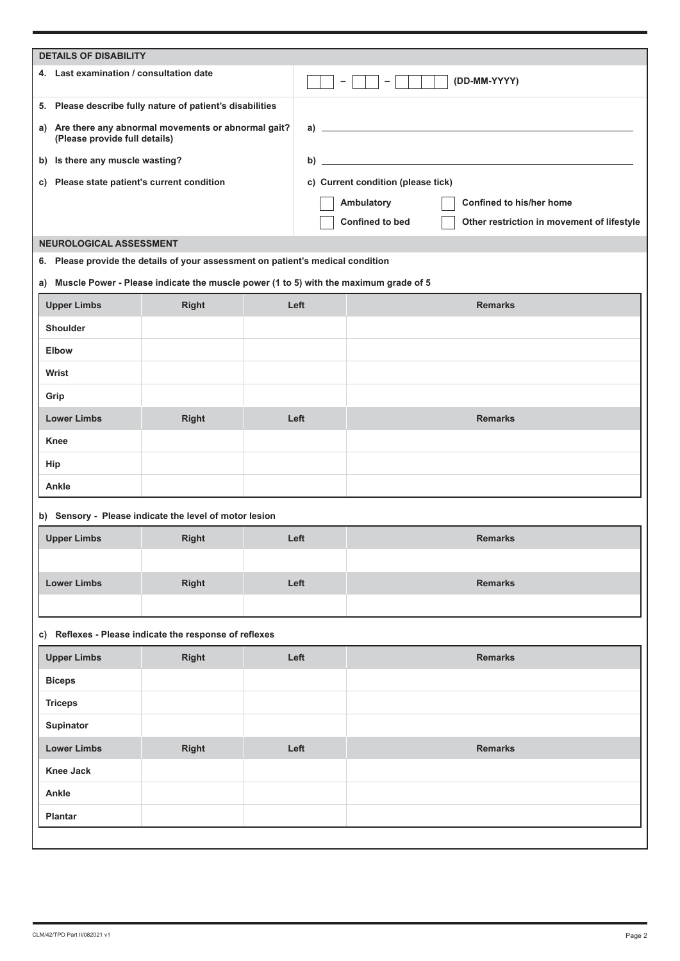| <b>DETAILS OF DISABILITY</b> |                                                        |                                                                                         |      |                                                                      |                |                             |  |  |  |
|------------------------------|--------------------------------------------------------|-----------------------------------------------------------------------------------------|------|----------------------------------------------------------------------|----------------|-----------------------------|--|--|--|
|                              | 4. Last examination / consultation date                |                                                                                         |      |                                                                      | -              | (DD-MM-YYYY)                |  |  |  |
|                              |                                                        | 5. Please describe fully nature of patient's disabilities                               |      |                                                                      |                |                             |  |  |  |
| a)                           | (Please provide full details)                          | Are there any abnormal movements or abnormal gait?                                      |      |                                                                      |                | a) $\overline{\phantom{a}}$ |  |  |  |
| b)                           | Is there any muscle wasting?                           |                                                                                         |      |                                                                      |                |                             |  |  |  |
| C)                           |                                                        | Please state patient's current condition                                                |      | c) Current condition (please tick)                                   |                |                             |  |  |  |
|                              |                                                        |                                                                                         |      | Confined to his/her home<br>Ambulatory                               |                |                             |  |  |  |
|                              |                                                        |                                                                                         |      | <b>Confined to bed</b><br>Other restriction in movement of lifestyle |                |                             |  |  |  |
|                              | NEUROLOGICAL ASSESSMENT                                |                                                                                         |      |                                                                      |                |                             |  |  |  |
| 6.                           |                                                        | Please provide the details of your assessment on patient's medical condition            |      |                                                                      |                |                             |  |  |  |
|                              |                                                        | a) Muscle Power - Please indicate the muscle power (1 to 5) with the maximum grade of 5 |      |                                                                      |                |                             |  |  |  |
|                              | <b>Upper Limbs</b>                                     | <b>Right</b>                                                                            |      | Left                                                                 |                | <b>Remarks</b>              |  |  |  |
|                              | <b>Shoulder</b>                                        |                                                                                         |      |                                                                      |                |                             |  |  |  |
| <b>Elbow</b>                 |                                                        |                                                                                         |      |                                                                      |                |                             |  |  |  |
| Wrist                        |                                                        |                                                                                         |      |                                                                      |                |                             |  |  |  |
|                              |                                                        |                                                                                         |      |                                                                      |                |                             |  |  |  |
| Grip                         |                                                        |                                                                                         |      |                                                                      |                |                             |  |  |  |
|                              | <b>Lower Limbs</b>                                     | <b>Right</b>                                                                            |      | Left                                                                 |                | <b>Remarks</b>              |  |  |  |
| <b>Knee</b>                  |                                                        |                                                                                         |      |                                                                      |                |                             |  |  |  |
| Hip                          |                                                        |                                                                                         |      |                                                                      |                |                             |  |  |  |
| Ankle                        |                                                        |                                                                                         |      |                                                                      |                |                             |  |  |  |
|                              |                                                        | b) Sensory - Please indicate the level of motor lesion                                  |      |                                                                      |                |                             |  |  |  |
|                              | <b>Upper Limbs</b>                                     | <b>Right</b>                                                                            | Left |                                                                      | <b>Remarks</b> |                             |  |  |  |
|                              |                                                        |                                                                                         |      |                                                                      |                |                             |  |  |  |
|                              | <b>Lower Limbs</b>                                     | <b>Right</b>                                                                            | Left |                                                                      |                | <b>Remarks</b>              |  |  |  |
|                              |                                                        |                                                                                         |      |                                                                      |                |                             |  |  |  |
|                              | c) Reflexes - Please indicate the response of reflexes |                                                                                         |      |                                                                      |                |                             |  |  |  |
|                              | <b>Upper Limbs</b>                                     | Right                                                                                   |      | Left                                                                 |                | <b>Remarks</b>              |  |  |  |
| <b>Biceps</b>                |                                                        |                                                                                         |      |                                                                      |                |                             |  |  |  |
|                              | <b>Triceps</b>                                         |                                                                                         |      |                                                                      |                |                             |  |  |  |
|                              | Supinator                                              |                                                                                         |      |                                                                      |                |                             |  |  |  |
|                              | <b>Lower Limbs</b>                                     | Right                                                                                   |      | Left                                                                 |                | <b>Remarks</b>              |  |  |  |
|                              | <b>Knee Jack</b>                                       |                                                                                         |      |                                                                      |                |                             |  |  |  |
| Ankle                        |                                                        |                                                                                         |      |                                                                      |                |                             |  |  |  |
|                              | <b>Plantar</b>                                         |                                                                                         |      |                                                                      |                |                             |  |  |  |
|                              |                                                        |                                                                                         |      |                                                                      |                |                             |  |  |  |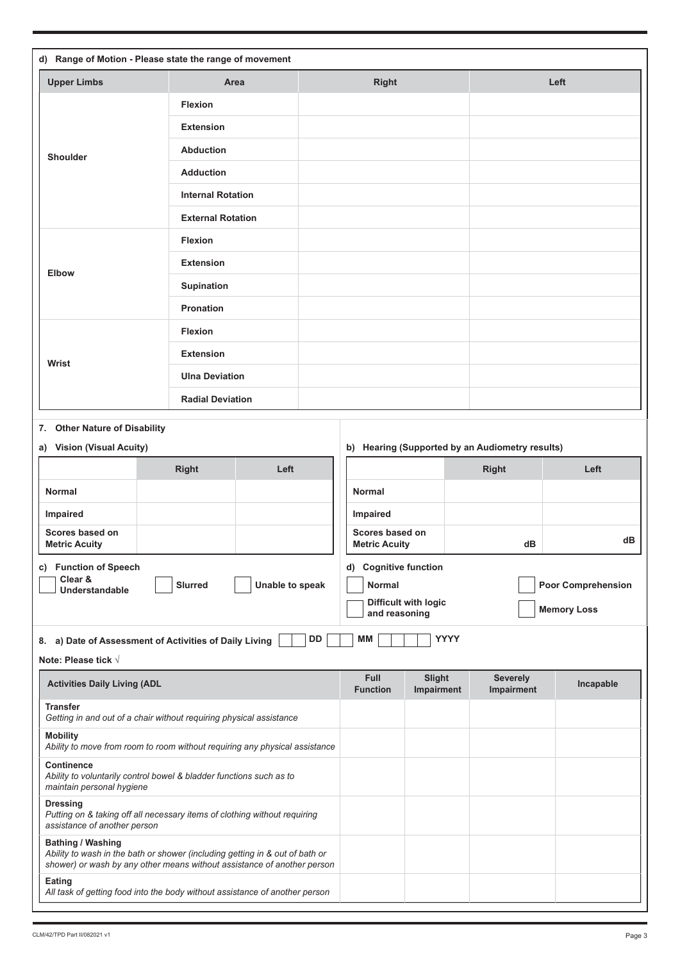| d) Range of Motion - Please state the range of movement                                                                                                                             |                                                                     |               |                                         |                           |                                                 |           |  |
|-------------------------------------------------------------------------------------------------------------------------------------------------------------------------------------|---------------------------------------------------------------------|---------------|-----------------------------------------|---------------------------|-------------------------------------------------|-----------|--|
| <b>Upper Limbs</b>                                                                                                                                                                  | Area                                                                |               | <b>Right</b>                            |                           | Left                                            |           |  |
|                                                                                                                                                                                     | <b>Flexion</b>                                                      |               |                                         |                           |                                                 |           |  |
|                                                                                                                                                                                     | <b>Extension</b>                                                    |               |                                         |                           |                                                 |           |  |
| <b>Shoulder</b>                                                                                                                                                                     | <b>Abduction</b>                                                    |               |                                         |                           |                                                 |           |  |
|                                                                                                                                                                                     | <b>Adduction</b>                                                    |               |                                         |                           |                                                 |           |  |
|                                                                                                                                                                                     | <b>Internal Rotation</b>                                            |               |                                         |                           |                                                 |           |  |
|                                                                                                                                                                                     | <b>External Rotation</b>                                            |               |                                         |                           |                                                 |           |  |
|                                                                                                                                                                                     | <b>Flexion</b>                                                      |               |                                         |                           |                                                 |           |  |
| Elbow                                                                                                                                                                               | <b>Extension</b>                                                    |               |                                         |                           |                                                 |           |  |
|                                                                                                                                                                                     | Supination                                                          |               |                                         |                           |                                                 |           |  |
|                                                                                                                                                                                     | <b>Pronation</b>                                                    |               |                                         |                           |                                                 |           |  |
|                                                                                                                                                                                     | <b>Flexion</b>                                                      |               |                                         |                           |                                                 |           |  |
| Wrist                                                                                                                                                                               | <b>Extension</b>                                                    |               |                                         |                           |                                                 |           |  |
|                                                                                                                                                                                     | <b>Ulna Deviation</b>                                               |               |                                         |                           |                                                 |           |  |
|                                                                                                                                                                                     | <b>Radial Deviation</b>                                             |               |                                         |                           |                                                 |           |  |
| <b>Other Nature of Disability</b><br>7.                                                                                                                                             |                                                                     |               |                                         |                           |                                                 |           |  |
| <b>Vision (Visual Acuity)</b><br>a)                                                                                                                                                 |                                                                     |               |                                         |                           | b) Hearing (Supported by an Audiometry results) |           |  |
|                                                                                                                                                                                     | <b>Right</b><br>Left                                                |               |                                         |                           | <b>Right</b>                                    | Left      |  |
| <b>Normal</b>                                                                                                                                                                       |                                                                     |               | <b>Normal</b>                           |                           |                                                 |           |  |
| Impaired                                                                                                                                                                            |                                                                     |               | Impaired                                |                           |                                                 |           |  |
| Scores based on<br><b>Metric Acuity</b>                                                                                                                                             |                                                                     |               | Scores based on<br><b>Metric Acuity</b> |                           | dВ                                              | dВ        |  |
| c) Function of Speech                                                                                                                                                               |                                                                     |               | d) Cognitive function                   |                           |                                                 |           |  |
| Clear &<br><b>Understandable</b>                                                                                                                                                    | Unable to speak                                                     | <b>Normal</b> |                                         | <b>Poor Comprehension</b> |                                                 |           |  |
|                                                                                                                                                                                     |                                                                     |               | and reasoning                           | Difficult with logic      | <b>Memory Loss</b>                              |           |  |
|                                                                                                                                                                                     | 8. a) Date of Assessment of Activities of Daily Living              | <b>DD</b>     | МM                                      | <b>YYYY</b>               |                                                 |           |  |
| Note: Please tick $\sqrt{}$                                                                                                                                                         |                                                                     |               |                                         |                           |                                                 |           |  |
| <b>Activities Daily Living (ADL</b>                                                                                                                                                 |                                                                     |               | <b>Full</b><br><b>Function</b>          | Slight<br>Impairment      | <b>Severely</b><br>Impairment                   | Incapable |  |
| <b>Transfer</b>                                                                                                                                                                     | Getting in and out of a chair without requiring physical assistance |               |                                         |                           |                                                 |           |  |
| <b>Mobility</b><br>Ability to move from room to room without requiring any physical assistance                                                                                      |                                                                     |               |                                         |                           |                                                 |           |  |
| <b>Continence</b><br>Ability to voluntarily control bowel & bladder functions such as to<br>maintain personal hygiene                                                               |                                                                     |               |                                         |                           |                                                 |           |  |
| <b>Dressing</b><br>Putting on & taking off all necessary items of clothing without requiring<br>assistance of another person                                                        |                                                                     |               |                                         |                           |                                                 |           |  |
| <b>Bathing / Washing</b><br>Ability to wash in the bath or shower (including getting in & out of bath or<br>shower) or wash by any other means without assistance of another person |                                                                     |               |                                         |                           |                                                 |           |  |
| Eating<br>All task of getting food into the body without assistance of another person                                                                                               |                                                                     |               |                                         |                           |                                                 |           |  |